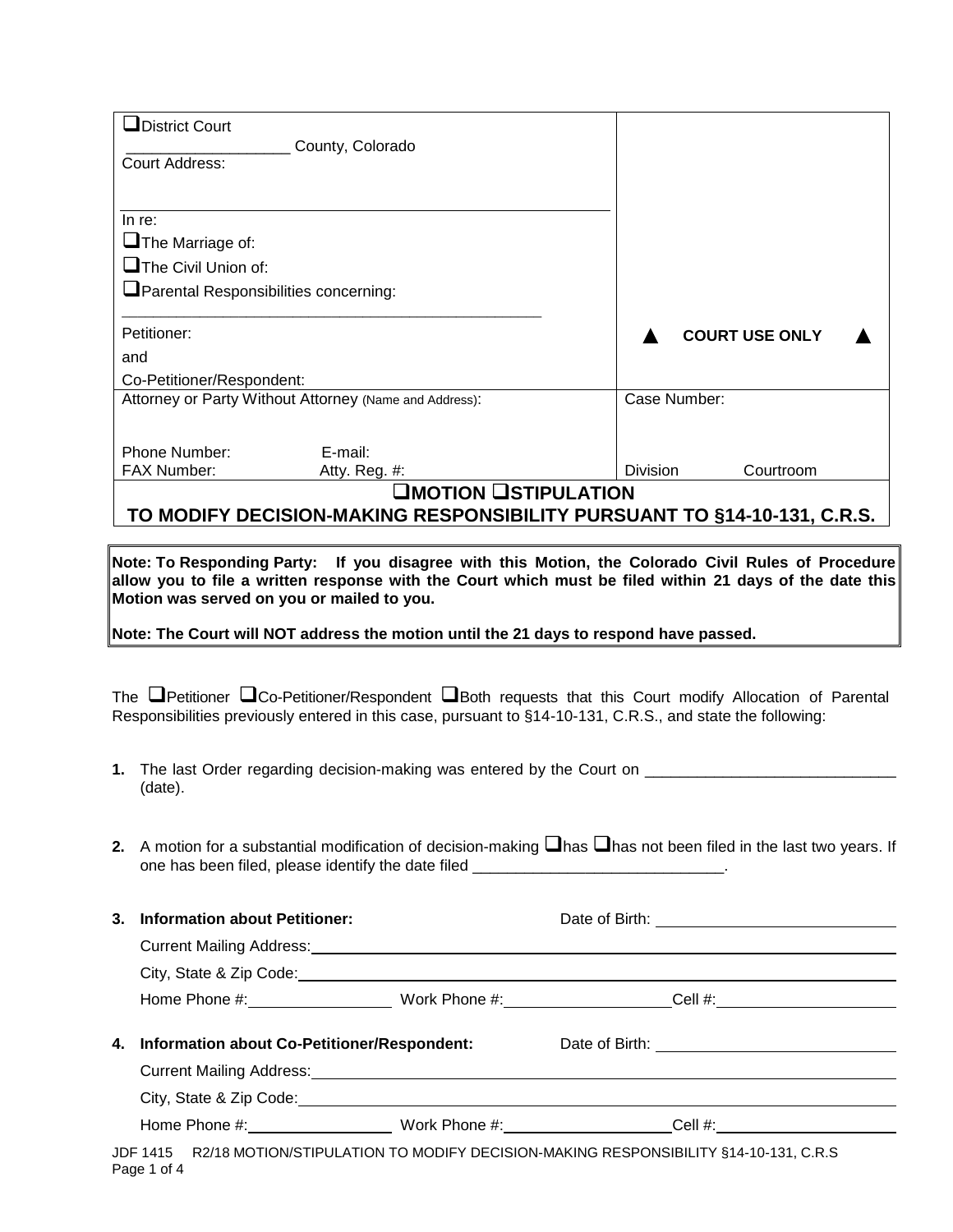| $\Box$ District Court                                                   |                       |
|-------------------------------------------------------------------------|-----------------------|
| County, Colorado                                                        |                       |
| Court Address:                                                          |                       |
|                                                                         |                       |
|                                                                         |                       |
| In re:                                                                  |                       |
| $\Box$ The Marriage of:                                                 |                       |
| $\Box$ The Civil Union of:                                              |                       |
| Parental Responsibilities concerning:                                   |                       |
|                                                                         |                       |
| Petitioner:                                                             | <b>COURT USE ONLY</b> |
| and                                                                     |                       |
| Co-Petitioner/Respondent:                                               |                       |
| Attorney or Party Without Attorney (Name and Address):                  | Case Number:          |
|                                                                         |                       |
|                                                                         |                       |
| Phone Number:<br>E-mail:                                                |                       |
| FAX Number:<br>Atty. Reg. #:                                            | Division<br>Courtroom |
| <b>OMOTION OSTIPULATION</b>                                             |                       |
| TO MODIFY DECISION-MAKING RESPONSIBILITY PURSUANT TO §14-10-131, C.R.S. |                       |
|                                                                         |                       |

**Note: To Responding Party: If you disagree with this Motion, the Colorado Civil Rules of Procedure allow you to file a written response with the Court which must be filed within 21 days of the date this Motion was served on you or mailed to you.**

**Note: The Court will NOT address the motion until the 21 days to respond have passed.**

The **P**etitioner **QCo-Petitioner/Respondent QBoth requests that this Court modify Allocation of Parental** Responsibilities previously entered in this case, pursuant to §14-10-131, C.R.S., and state the following:

- **1.** The last Order regarding decision-making was entered by the Court on \_\_\_\_\_\_\_\_\_\_\_\_\_ (date).
- **2.** A motion for a substantial modification of decision-making  $\Box$  has  $\Box$  has not been filed in the last two years. If one has been filed, please identify the date filed \_\_\_\_\_\_\_\_\_\_\_\_\_\_\_\_\_\_\_\_\_\_\_\_\_\_\_\_\_\_

| 3. | <b>Information about Petitioner:</b>                                      |                                 |         |                                                 |  |
|----|---------------------------------------------------------------------------|---------------------------------|---------|-------------------------------------------------|--|
|    |                                                                           |                                 |         |                                                 |  |
|    | City, State & Zip Code: 2008 Communication of the City, State & Zip Code: |                                 |         |                                                 |  |
|    |                                                                           |                                 |         |                                                 |  |
|    |                                                                           |                                 |         |                                                 |  |
|    | 4. Information about Co-Petitioner/Respondent:                            |                                 |         |                                                 |  |
|    |                                                                           |                                 |         |                                                 |  |
|    |                                                                           |                                 |         |                                                 |  |
|    | Home Phone #: New York 2014                                               | Work Phone #: <u>__________</u> | Cell #: | <u> 1989 - Jan Storman Barbara, prima posta</u> |  |

JDF 1415 R2/18 MOTION/STIPULATION TO MODIFY DECISION-MAKING RESPONSIBILITY §14-10-131, C.R.S Page 1 of 4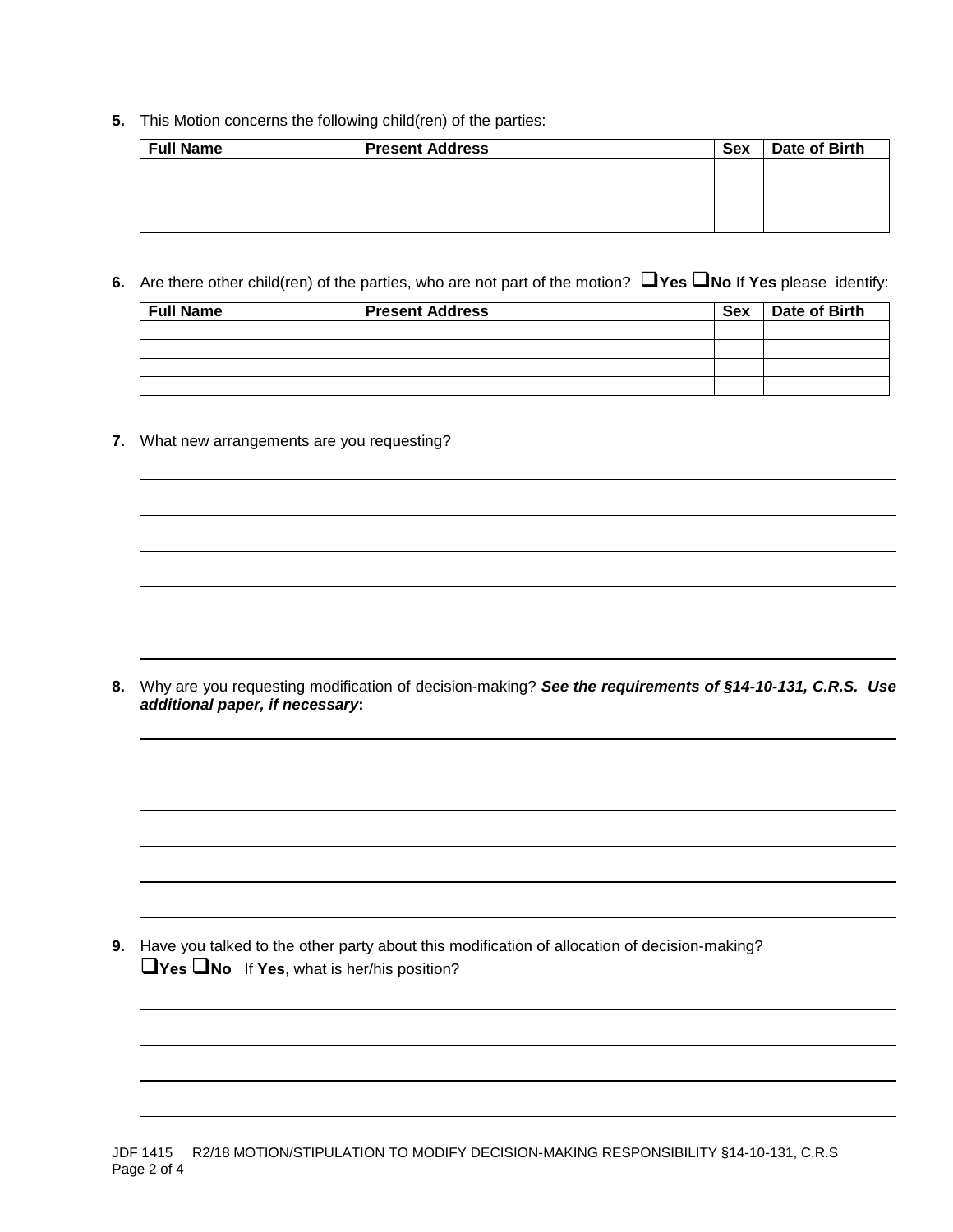**5.** This Motion concerns the following child(ren) of the parties:

| <b>Full Name</b> | <b>Present Address</b> | Sex | Date of Birth |
|------------------|------------------------|-----|---------------|
|                  |                        |     |               |
|                  |                        |     |               |
|                  |                        |     |               |
|                  |                        |     |               |

**6.** Are there other child(ren) of the parties, who are not part of the motion? **Nes No** If **Yes** please identify:

| <b>Full Name</b> | <b>Present Address</b> | <b>Sex</b> | Date of Birth |  |
|------------------|------------------------|------------|---------------|--|
|                  |                        |            |               |  |
|                  |                        |            |               |  |
|                  |                        |            |               |  |
|                  |                        |            |               |  |

**7.** What new arrangements are you requesting?

**8.** Why are you requesting modification of decision-making? *See the requirements of §14-10-131, C.R.S.**Use additional paper, if necessary***:**

**9.** Have you talked to the other party about this modification of allocation of decision-making? **Yes No** If **Yes**, what is her/his position?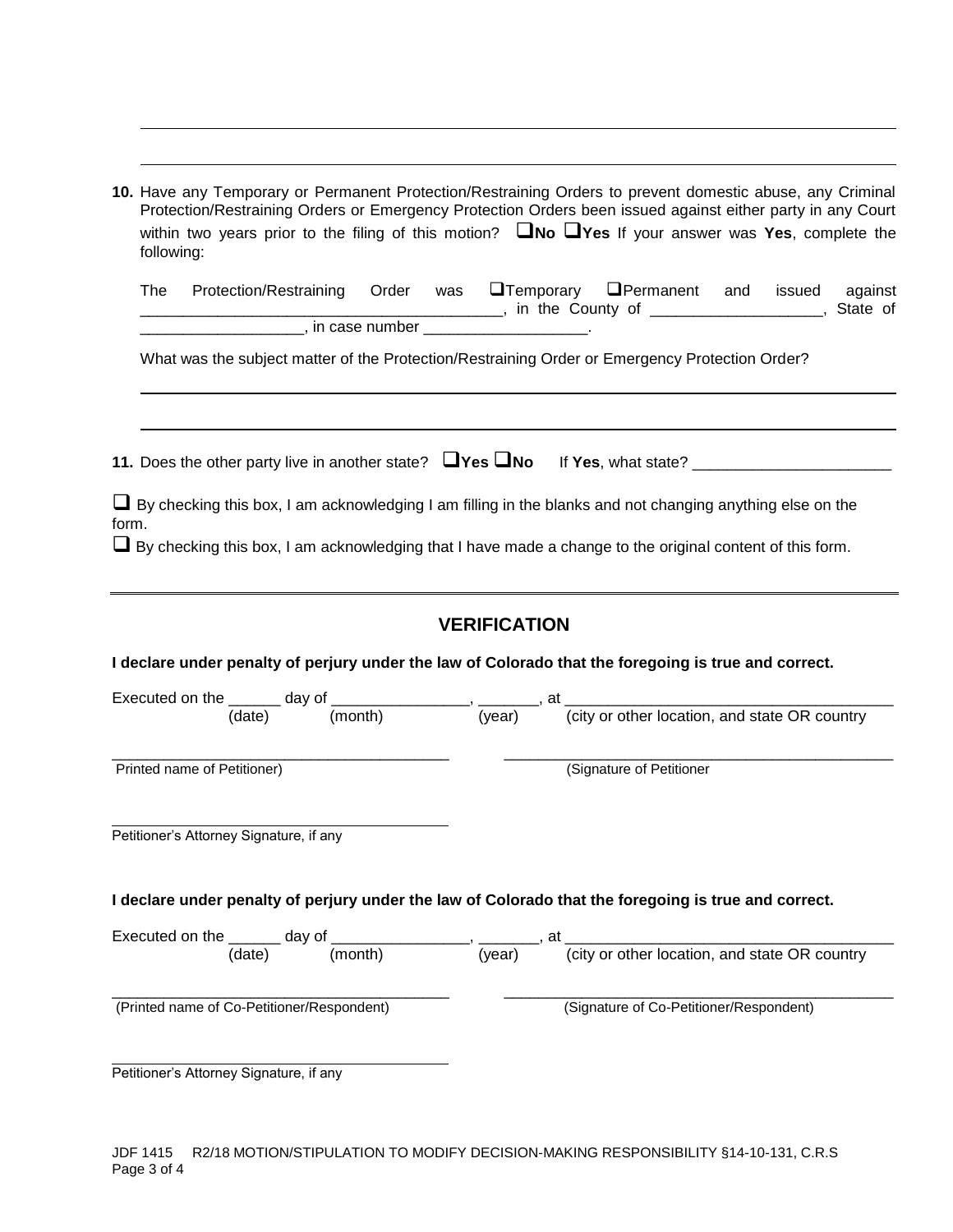| following: | 10. Have any Temporary or Permanent Protection/Restraining Orders to prevent domestic abuse, any Criminal<br>Protection/Restraining Orders or Emergency Protection Orders been issued against either party in any Court<br>within two years prior to the filing of this motion? $\Box$ No $\Box$ Yes If your answer was Yes, complete the |  |  |                     |                                         |  |         |
|------------|-------------------------------------------------------------------------------------------------------------------------------------------------------------------------------------------------------------------------------------------------------------------------------------------------------------------------------------------|--|--|---------------------|-----------------------------------------|--|---------|
| The        | Protection/Restraining Order was <b>O</b> Temporary <b>O</b> Permanent and issued                                                                                                                                                                                                                                                         |  |  |                     |                                         |  | against |
|            | Fig. 2. The County of Theorem County of Theorem 2. State of Theorem 2. State of Theorem 2. State of                                                                                                                                                                                                                                       |  |  |                     |                                         |  |         |
|            | What was the subject matter of the Protection/Restraining Order or Emergency Protection Order?                                                                                                                                                                                                                                            |  |  |                     |                                         |  |         |
|            |                                                                                                                                                                                                                                                                                                                                           |  |  |                     |                                         |  |         |
| form.      | $\Box$ By checking this box, I am acknowledging I am filling in the blanks and not changing anything else on the<br>$\Box$ By checking this box, I am acknowledging that I have made a change to the original content of this form.                                                                                                       |  |  |                     |                                         |  |         |
|            | I declare under penalty of perjury under the law of Colorado that the foregoing is true and correct.                                                                                                                                                                                                                                      |  |  | <b>VERIFICATION</b> |                                         |  |         |
|            |                                                                                                                                                                                                                                                                                                                                           |  |  |                     |                                         |  |         |
|            | Executed on the $\frac{1}{(date)}$ day of $\frac{1}{(month)}$ , $\frac{1}{(year)}$ , at $\frac{1}{(city \text{ or other location, and state OR country})}$                                                                                                                                                                                |  |  |                     |                                         |  |         |
|            | Printed name of Petitioner)                                                                                                                                                                                                                                                                                                               |  |  |                     | (Signature of Petitioner                |  |         |
|            | Petitioner's Attorney Signature, if any                                                                                                                                                                                                                                                                                                   |  |  |                     |                                         |  |         |
|            | I declare under penalty of perjury under the law of Colorado that the foregoing is true and correct.                                                                                                                                                                                                                                      |  |  |                     |                                         |  |         |
|            | Executed on the $\frac{1}{(date)}$ day of $\frac{1}{(month)}$ , $\frac{1}{(year)}$ , at $\frac{1}{(city \ or \ other \ location, and state \ OR \ country)}$                                                                                                                                                                              |  |  |                     |                                         |  |         |
|            |                                                                                                                                                                                                                                                                                                                                           |  |  |                     |                                         |  |         |
|            | (Printed name of Co-Petitioner/Respondent)                                                                                                                                                                                                                                                                                                |  |  |                     | (Signature of Co-Petitioner/Respondent) |  |         |
|            | Petitioner's Attorney Signature, if any                                                                                                                                                                                                                                                                                                   |  |  |                     |                                         |  |         |